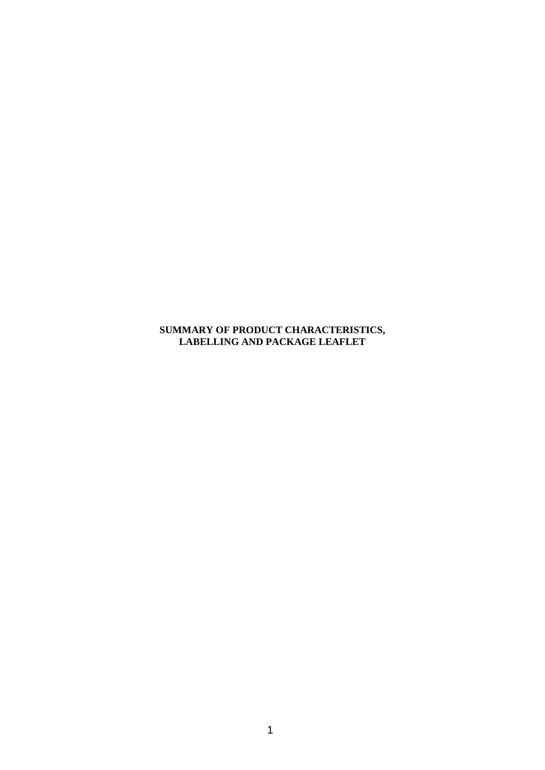**SUMMARY OF PRODUCT CHARACTERISTICS, LABELLING AND PACKAGE LEAFLET**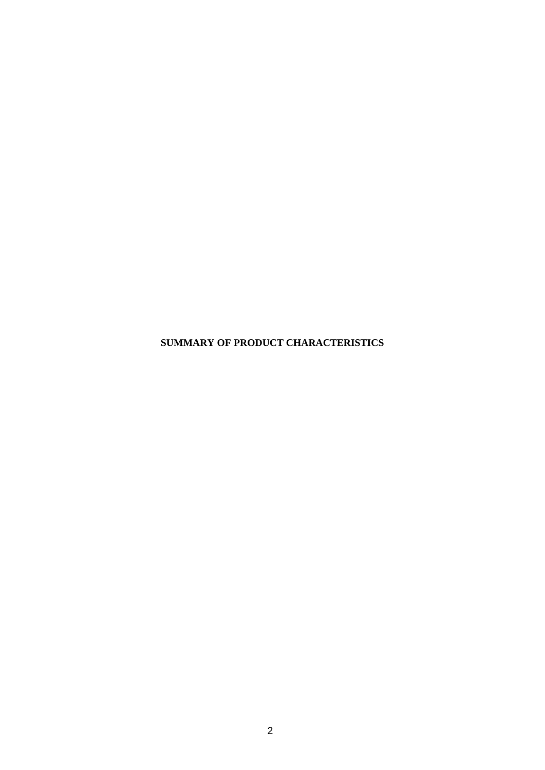**SUMMARY OF PRODUCT CHARACTERISTICS**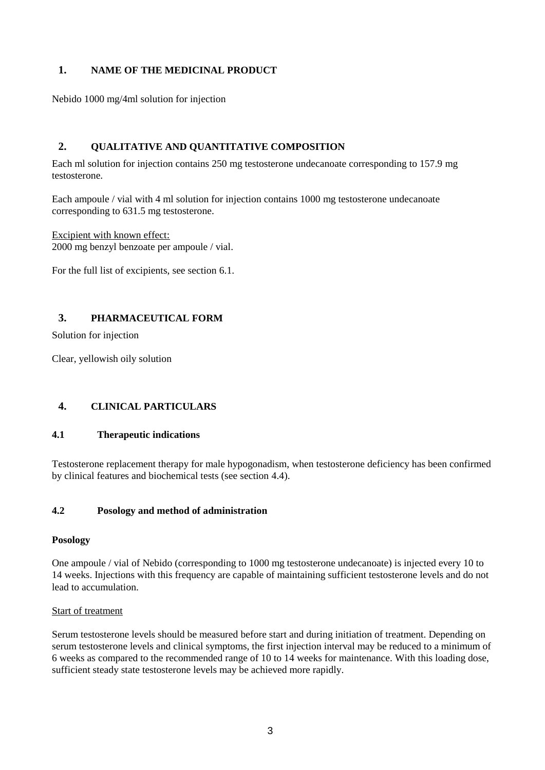# **1. NAME OF THE MEDICINAL PRODUCT**

Nebido 1000 mg/4ml solution for injection

# **2. QUALITATIVE AND QUANTITATIVE COMPOSITION**

Each ml solution for injection contains 250 mg testosterone undecanoate corresponding to 157.9 mg testosterone.

Each ampoule / vial with 4 ml solution for injection contains 1000 mg testosterone undecanoate corresponding to 631.5 mg testosterone.

Excipient with known effect: 2000 mg benzyl benzoate per ampoule / vial.

For the full list of excipients, see section 6.1.

# **3. PHARMACEUTICAL FORM**

Solution for injection

Clear, yellowish oily solution

# **4. CLINICAL PARTICULARS**

### **4.1 Therapeutic indications**

Testosterone replacement therapy for male hypogonadism, when testosterone deficiency has been confirmed by clinical features and biochemical tests (see section 4.4).

# **4.2 Posology and method of administration**

### **Posology**

One ampoule / vial of Nebido (corresponding to 1000 mg testosterone undecanoate) is injected every 10 to 14 weeks. Injections with this frequency are capable of maintaining sufficient testosterone levels and do not lead to accumulation.

### Start of treatment

Serum testosterone levels should be measured before start and during initiation of treatment. Depending on serum testosterone levels and clinical symptoms, the first injection interval may be reduced to a minimum of 6 weeks as compared to the recommended range of 10 to 14 weeks for maintenance. With this loading dose, sufficient steady state testosterone levels may be achieved more rapidly.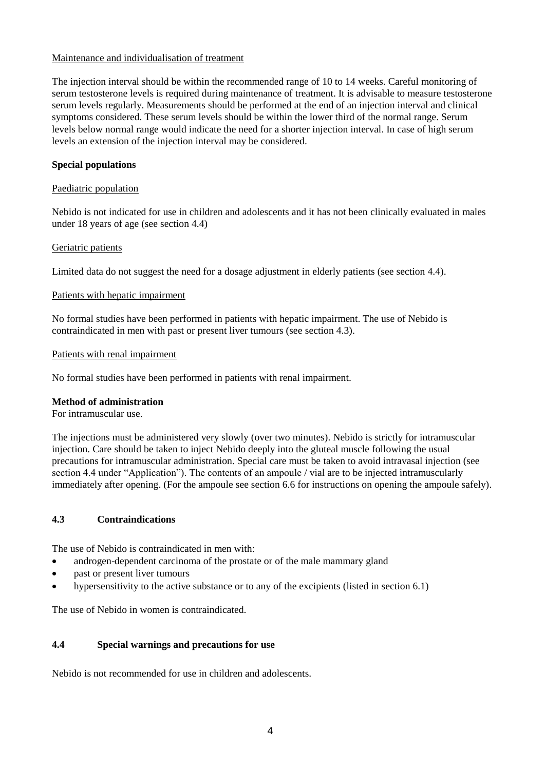### Maintenance and individualisation of treatment

The injection interval should be within the recommended range of 10 to 14 weeks. Careful monitoring of serum testosterone levels is required during maintenance of treatment. It is advisable to measure testosterone serum levels regularly. Measurements should be performed at the end of an injection interval and clinical symptoms considered. These serum levels should be within the lower third of the normal range. Serum levels below normal range would indicate the need for a shorter injection interval. In case of high serum levels an extension of the injection interval may be considered.

# **Special populations**

### Paediatric population

Nebido is not indicated for use in children and adolescents and it has not been clinically evaluated in males under 18 years of age (see section 4.4)

### Geriatric patients

Limited data do not suggest the need for a dosage adjustment in elderly patients (see section 4.4).

### Patients with hepatic impairment

No formal studies have been performed in patients with hepatic impairment. The use of Nebido is contraindicated in men with past or present liver tumours (see section 4.3).

### Patients with renal impairment

No formal studies have been performed in patients with renal impairment.

### **Method of administration**

For intramuscular use.

The injections must be administered very slowly (over two minutes). Nebido is strictly for intramuscular injection. Care should be taken to inject Nebido deeply into the gluteal muscle following the usual precautions for intramuscular administration. Special care must be taken to avoid intravasal injection (see section 4.4 under "Application"). The contents of an ampoule / vial are to be injected intramuscularly immediately after opening. (For the ampoule see section 6.6 for instructions on opening the ampoule safely).

### **4.3 Contraindications**

The use of Nebido is contraindicated in men with:

- androgen-dependent carcinoma of the prostate or of the male mammary gland
- past or present liver tumours
- hypersensitivity to the active substance or to any of the excipients (listed in section 6.1)

The use of Nebido in women is contraindicated.

### **4.4 Special warnings and precautions for use**

Nebido is not recommended for use in children and adolescents.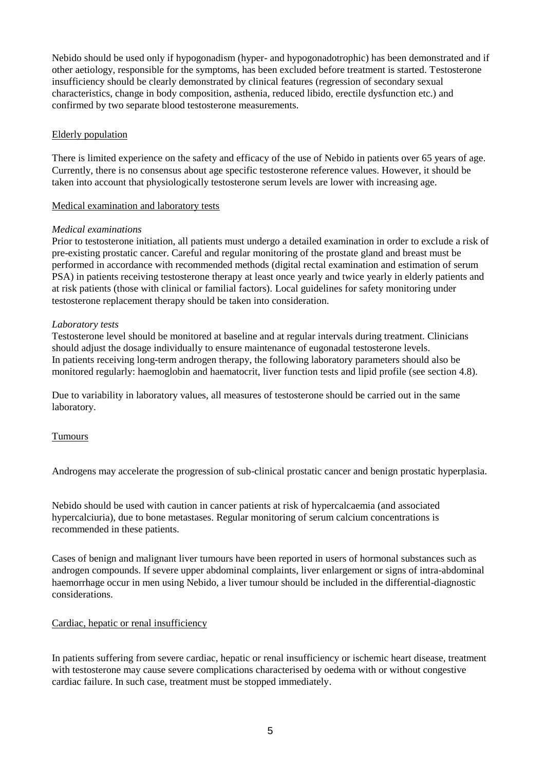Nebido should be used only if hypogonadism (hyper- and hypogonadotrophic) has been demonstrated and if other aetiology, responsible for the symptoms, has been excluded before treatment is started. Testosterone insufficiency should be clearly demonstrated by clinical features (regression of secondary sexual characteristics, change in body composition, asthenia, reduced libido, erectile dysfunction etc.) and confirmed by two separate blood testosterone measurements.

### Elderly population

There is limited experience on the safety and efficacy of the use of Nebido in patients over 65 years of age. Currently, there is no consensus about age specific testosterone reference values. However, it should be taken into account that physiologically testosterone serum levels are lower with increasing age.

### Medical examination and laboratory tests

### *Medical examinations*

Prior to testosterone initiation, all patients must undergo a detailed examination in order to exclude a risk of pre-existing prostatic cancer. Careful and regular monitoring of the prostate gland and breast must be performed in accordance with recommended methods (digital rectal examination and estimation of serum PSA) in patients receiving testosterone therapy at least once yearly and twice yearly in elderly patients and at risk patients (those with clinical or familial factors). Local guidelines for safety monitoring under testosterone replacement therapy should be taken into consideration.

### *Laboratory tests*

Testosterone level should be monitored at baseline and at regular intervals during treatment. Clinicians should adjust the dosage individually to ensure maintenance of eugonadal testosterone levels. In patients receiving long-term androgen therapy, the following laboratory parameters should also be monitored regularly: haemoglobin and haematocrit, liver function tests and lipid profile (see section 4.8).

Due to variability in laboratory values, all measures of testosterone should be carried out in the same laboratory.

# Tumours

Androgens may accelerate the progression of sub-clinical prostatic cancer and benign prostatic hyperplasia.

Nebido should be used with caution in cancer patients at risk of hypercalcaemia (and associated hypercalciuria), due to bone metastases. Regular monitoring of serum calcium concentrations is recommended in these patients.

Cases of benign and malignant liver tumours have been reported in users of hormonal substances such as androgen compounds. If severe upper abdominal complaints, liver enlargement or signs of intra-abdominal haemorrhage occur in men using Nebido, a liver tumour should be included in the differential-diagnostic considerations.

### Cardiac, hepatic or renal insufficiency

In patients suffering from severe cardiac, hepatic or renal insufficiency or ischemic heart disease, treatment with testosterone may cause severe complications characterised by oedema with or without congestive cardiac failure. In such case, treatment must be stopped immediately.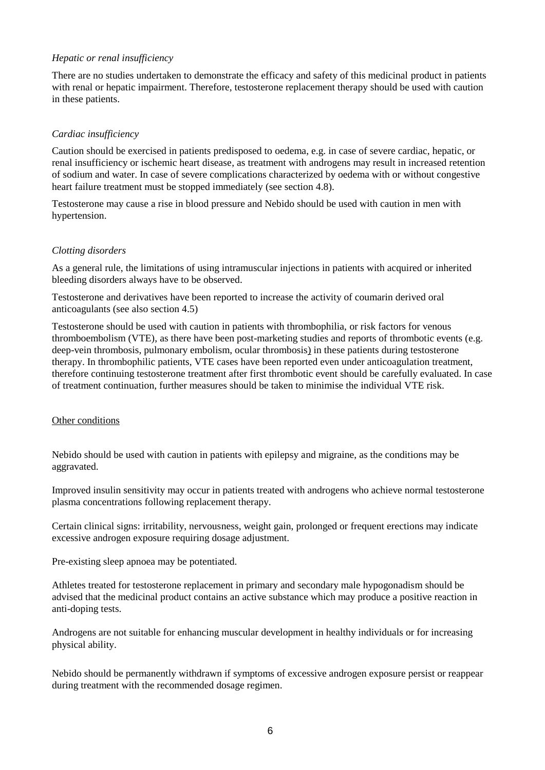### *Hepatic or renal insufficiency*

There are no studies undertaken to demonstrate the efficacy and safety of this medicinal product in patients with renal or hepatic impairment. Therefore, testosterone replacement therapy should be used with caution in these patients.

### *Cardiac insufficiency*

Caution should be exercised in patients predisposed to oedema, e.g. in case of severe cardiac, hepatic, or renal insufficiency or ischemic heart disease, as treatment with androgens may result in increased retention of sodium and water. In case of severe complications characterized by oedema with or without congestive heart failure treatment must be stopped immediately (see section 4.8).

Testosterone may cause a rise in blood pressure and Nebido should be used with caution in men with hypertension.

### *Clotting disorders*

As a general rule, the limitations of using intramuscular injections in patients with acquired or inherited bleeding disorders always have to be observed.

Testosterone and derivatives have been reported to increase the activity of coumarin derived oral anticoagulants (see also section 4.5)

Testosterone should be used with caution in patients with thrombophilia, or risk factors for venous thromboembolism (VTE), as there have been post-marketing studies and reports of thrombotic events (e.g. deep-vein thrombosis, pulmonary embolism, ocular thrombosis) in these patients during testosterone therapy. In thrombophilic patients, VTE cases have been reported even under anticoagulation treatment, therefore continuing testosterone treatment after first thrombotic event should be carefully evaluated. In case of treatment continuation, further measures should be taken to minimise the individual VTE risk.

### Other conditions

Nebido should be used with caution in patients with epilepsy and migraine, as the conditions may be aggravated.

Improved insulin sensitivity may occur in patients treated with androgens who achieve normal testosterone plasma concentrations following replacement therapy.

Certain clinical signs: irritability, nervousness, weight gain, prolonged or frequent erections may indicate excessive androgen exposure requiring dosage adjustment.

Pre-existing sleep apnoea may be potentiated.

Athletes treated for testosterone replacement in primary and secondary male hypogonadism should be advised that the medicinal product contains an active substance which may produce a positive reaction in anti-doping tests.

Androgens are not suitable for enhancing muscular development in healthy individuals or for increasing physical ability.

Nebido should be permanently withdrawn if symptoms of excessive androgen exposure persist or reappear during treatment with the recommended dosage regimen.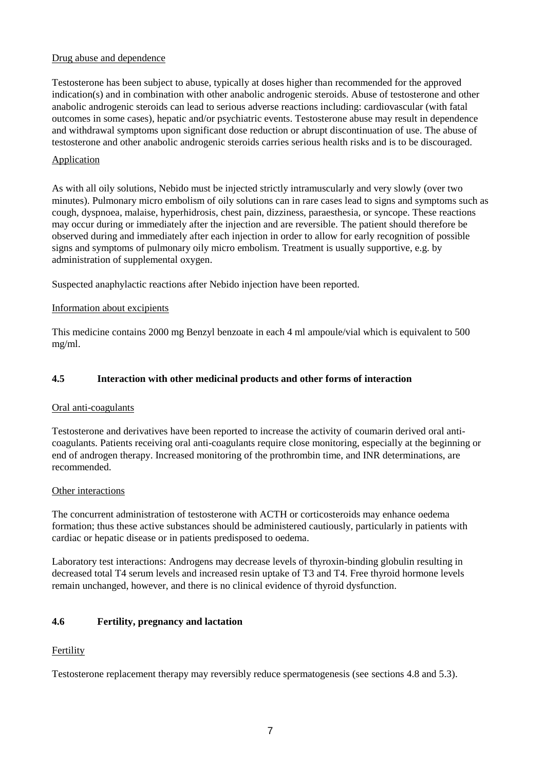## Drug abuse and dependence

Testosterone has been subject to abuse, typically at doses higher than recommended for the approved indication(s) and in combination with other anabolic androgenic steroids. Abuse of testosterone and other anabolic androgenic steroids can lead to serious adverse reactions including: cardiovascular (with fatal outcomes in some cases), hepatic and/or psychiatric events. Testosterone abuse may result in dependence and withdrawal symptoms upon significant dose reduction or abrupt discontinuation of use. The abuse of testosterone and other anabolic androgenic steroids carries serious health risks and is to be discouraged.

# Application

As with all oily solutions, Nebido must be injected strictly intramuscularly and very slowly (over two minutes). Pulmonary micro embolism of oily solutions can in rare cases lead to signs and symptoms such as cough, dyspnoea, malaise, hyperhidrosis, chest pain, dizziness, paraesthesia, or syncope. These reactions may occur during or immediately after the injection and are reversible. The patient should therefore be observed during and immediately after each injection in order to allow for early recognition of possible signs and symptoms of pulmonary oily micro embolism. Treatment is usually supportive, e.g. by administration of supplemental oxygen.

Suspected anaphylactic reactions after Nebido injection have been reported.

### Information about excipients

This medicine contains 2000 mg Benzyl benzoate in each 4 ml ampoule/vial which is equivalent to 500 mg/ml.

### **4.5 Interaction with other medicinal products and other forms of interaction**

### Oral anti-coagulants

Testosterone and derivatives have been reported to increase the activity of coumarin derived oral anticoagulants. Patients receiving oral anti-coagulants require close monitoring, especially at the beginning or end of androgen therapy. Increased monitoring of the prothrombin time, and INR determinations, are recommended.

### Other interactions

The concurrent administration of testosterone with ACTH or corticosteroids may enhance oedema formation; thus these active substances should be administered cautiously, particularly in patients with cardiac or hepatic disease or in patients predisposed to oedema.

Laboratory test interactions: Androgens may decrease levels of thyroxin-binding globulin resulting in decreased total T4 serum levels and increased resin uptake of T3 and T4. Free thyroid hormone levels remain unchanged, however, and there is no clinical evidence of thyroid dysfunction.

# **4.6 Fertility, pregnancy and lactation**

# Fertility

Testosterone replacement therapy may reversibly reduce spermatogenesis (see sections 4.8 and 5.3).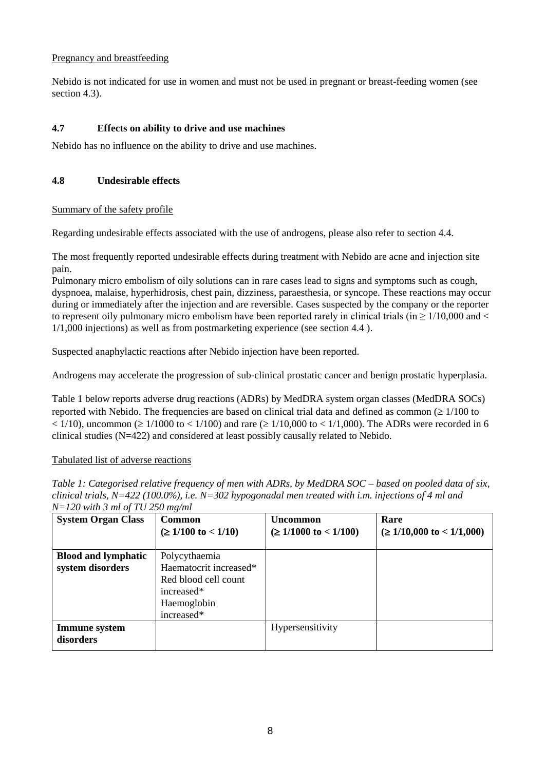# Pregnancy and breastfeeding

Nebido is not indicated for use in women and must not be used in pregnant or breast-feeding women (see section 4.3).

### **4.7 Effects on ability to drive and use machines**

Nebido has no influence on the ability to drive and use machines.

### **4.8 Undesirable effects**

### Summary of the safety profile

Regarding undesirable effects associated with the use of androgens, please also refer to section 4.4.

The most frequently reported undesirable effects during treatment with Nebido are acne and injection site pain.

Pulmonary micro embolism of oily solutions can in rare cases lead to signs and symptoms such as cough, dyspnoea, malaise, hyperhidrosis, chest pain, dizziness, paraesthesia, or syncope. These reactions may occur during or immediately after the injection and are reversible. Cases suspected by the company or the reporter to represent oily pulmonary micro embolism have been reported rarely in clinical trials (in  $\geq 1/10,000$  and  $\leq$ 1/1,000 injections) as well as from postmarketing experience (see section 4.4 ).

Suspected anaphylactic reactions after Nebido injection have been reported.

Androgens may accelerate the progression of sub-clinical prostatic cancer and benign prostatic hyperplasia.

Table 1 below reports adverse drug reactions (ADRs) by MedDRA system organ classes (MedDRA SOCs) reported with Nebido. The frequencies are based on clinical trial data and defined as common  $( \geq 1/100$  to  $<$  1/10), uncommon ( $\geq$  1/1000 to  $<$  1/100) and rare ( $\geq$  1/10,000 to  $<$  1/1,000). The ADRs were recorded in 6 clinical studies (N=422) and considered at least possibly causally related to Nebido.

### Tabulated list of adverse reactions

*Table 1: Categorised relative frequency of men with ADRs, by MedDRA SOC – based on pooled data of six, clinical trials, N=422 (100.0%), i.e. N=302 hypogonadal men treated with i.m. injections of 4 ml and N=120 with 3 ml of TU 250 mg/ml*

| <b>System Organ Class</b>                      | <b>Common</b><br>$(\geq 1/100 \text{ to } < 1/10)$                                                         | <b>Uncommon</b><br>$(\geq 1/1000 \text{ to } < 1/100)$ | Rare<br>$(\geq 1/10,000 \text{ to } < 1/1,000)$ |
|------------------------------------------------|------------------------------------------------------------------------------------------------------------|--------------------------------------------------------|-------------------------------------------------|
| <b>Blood and lymphatic</b><br>system disorders | Polycythaemia<br>Haematocrit increased*<br>Red blood cell count<br>increased*<br>Haemoglobin<br>increased* |                                                        |                                                 |
| <b>Immune</b> system<br>disorders              |                                                                                                            | Hypersensitivity                                       |                                                 |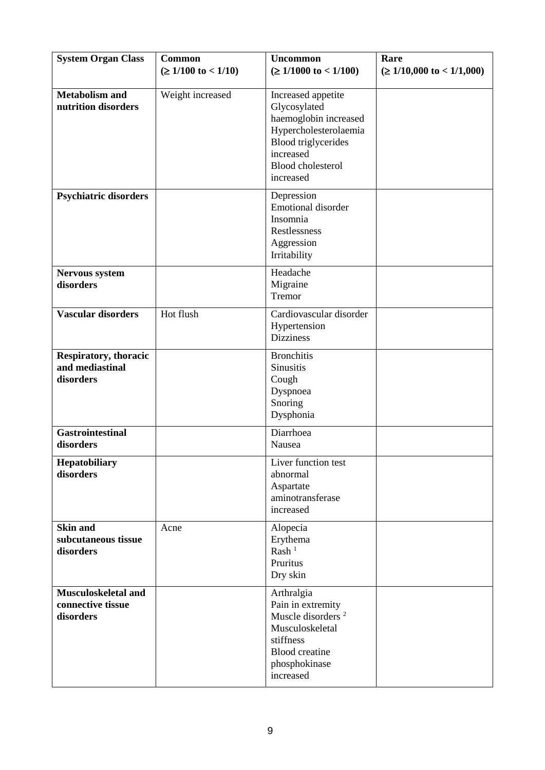| <b>System Organ Class</b>                                    | Common<br>( $≥ 1/100$ to < 1/10) | <b>Uncommon</b><br>$(\geq 1/1000 \text{ to} < 1/100)$                                                                                                                    | Rare<br>$(\geq 1/10,000 \text{ to } < 1/1,000)$ |
|--------------------------------------------------------------|----------------------------------|--------------------------------------------------------------------------------------------------------------------------------------------------------------------------|-------------------------------------------------|
| <b>Metabolism and</b><br>nutrition disorders                 | Weight increased                 | Increased appetite<br>Glycosylated<br>haemoglobin increased<br>Hypercholesterolaemia<br><b>Blood</b> triglycerides<br>increased<br><b>Blood</b> cholesterol<br>increased |                                                 |
| <b>Psychiatric disorders</b>                                 |                                  | Depression<br><b>Emotional disorder</b><br>Insomnia<br>Restlessness<br>Aggression<br>Irritability                                                                        |                                                 |
| <b>Nervous system</b><br>disorders                           |                                  | Headache<br>Migraine<br>Tremor                                                                                                                                           |                                                 |
| <b>Vascular disorders</b>                                    | Hot flush                        | Cardiovascular disorder<br>Hypertension<br><b>Dizziness</b>                                                                                                              |                                                 |
| <b>Respiratory, thoracic</b><br>and mediastinal<br>disorders |                                  | <b>Bronchitis</b><br>Sinusitis<br>Cough<br>Dyspnoea<br>Snoring<br>Dysphonia                                                                                              |                                                 |
| <b>Gastrointestinal</b><br>disorders                         |                                  | Diarrhoea<br>Nausea                                                                                                                                                      |                                                 |
| Hepatobiliary<br>disorders                                   |                                  | Liver function test<br>abnormal<br>Aspartate<br>aminotransferase<br>increased                                                                                            |                                                 |
| <b>Skin and</b><br>subcutaneous tissue<br>disorders          | Acne                             | Alopecia<br>Erythema<br>Rash <sup>1</sup><br>Pruritus<br>Dry skin                                                                                                        |                                                 |
| Musculoskeletal and<br>connective tissue<br>disorders        |                                  | Arthralgia<br>Pain in extremity<br>Muscle disorders <sup>2</sup><br>Musculoskeletal<br>stiffness<br><b>Blood</b> creatine<br>phosphokinase<br>increased                  |                                                 |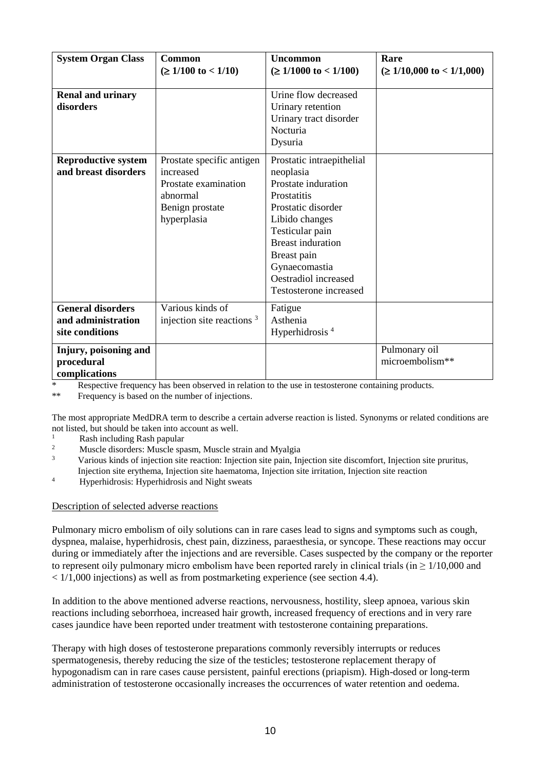| <b>System Organ Class</b>                                         | Common<br>( $≥ 1/100$ to < 1/10)                                                                             | <b>Uncommon</b><br>$(\geq 1/1000 \text{ to} < 1/100)$                                                                                                                                                                                                        | Rare<br>$( \geq 1/10,000 \text{ to} < 1/1,000)$ |
|-------------------------------------------------------------------|--------------------------------------------------------------------------------------------------------------|--------------------------------------------------------------------------------------------------------------------------------------------------------------------------------------------------------------------------------------------------------------|-------------------------------------------------|
| <b>Renal and urinary</b><br>disorders                             |                                                                                                              | Urine flow decreased<br>Urinary retention<br>Urinary tract disorder<br>Nocturia<br>Dysuria                                                                                                                                                                   |                                                 |
| <b>Reproductive system</b><br>and breast disorders                | Prostate specific antigen<br>increased<br>Prostate examination<br>abnormal<br>Benign prostate<br>hyperplasia | Prostatic intraepithelial<br>neoplasia<br>Prostate induration<br><b>Prostatitis</b><br>Prostatic disorder<br>Libido changes<br>Testicular pain<br><b>Breast induration</b><br>Breast pain<br>Gynaecomastia<br>Oestradiol increased<br>Testosterone increased |                                                 |
| <b>General disorders</b><br>and administration<br>site conditions | Various kinds of<br>injection site reactions $3$                                                             | Fatigue<br>Asthenia<br>Hyperhidrosis $4$                                                                                                                                                                                                                     |                                                 |
| Injury, poisoning and<br>procedural<br>complications              |                                                                                                              |                                                                                                                                                                                                                                                              | Pulmonary oil<br>microembolism**                |

\* Respective frequency has been observed in relation to the use in testosterone containing products.<br>\*\* Frequency is based on the number of injections

Frequency is based on the number of injections.

The most appropriate MedDRA term to describe a certain adverse reaction is listed. Synonyms or related conditions are not listed, but should be taken into account as well.

- $\frac{1}{2}$  Rash including Rash papular
- <sup>2</sup> Muscle disorders: Muscle spasm, Muscle strain and Myalgia
- <sup>3</sup> Various kinds of injection site reaction: Injection site pain, Injection site discomfort, Injection site pruritus, Injection site erythema, Injection site haematoma, Injection site irritation, Injection site reaction
- <sup>4</sup> Hyperhidrosis: Hyperhidrosis and Night sweats

# Description of selected adverse reactions

Pulmonary micro embolism of oily solutions can in rare cases lead to signs and symptoms such as cough, dyspnea, malaise, hyperhidrosis, chest pain, dizziness, paraesthesia, or syncope. These reactions may occur during or immediately after the injections and are reversible. Cases suspected by the company or the reporter to represent oily pulmonary micro embolism have been reported rarely in clinical trials (in  $\geq 1/10,000$  and < 1/1,000 injections) as well as from postmarketing experience (see section 4.4).

In addition to the above mentioned adverse reactions, nervousness, hostility, sleep apnoea, various skin reactions including seborrhoea, increased hair growth, increased frequency of erections and in very rare cases jaundice have been reported under treatment with testosterone containing preparations.

Therapy with high doses of testosterone preparations commonly reversibly interrupts or reduces spermatogenesis, thereby reducing the size of the testicles; testosterone replacement therapy of hypogonadism can in rare cases cause persistent, painful erections (priapism). High-dosed or long-term administration of testosterone occasionally increases the occurrences of water retention and oedema.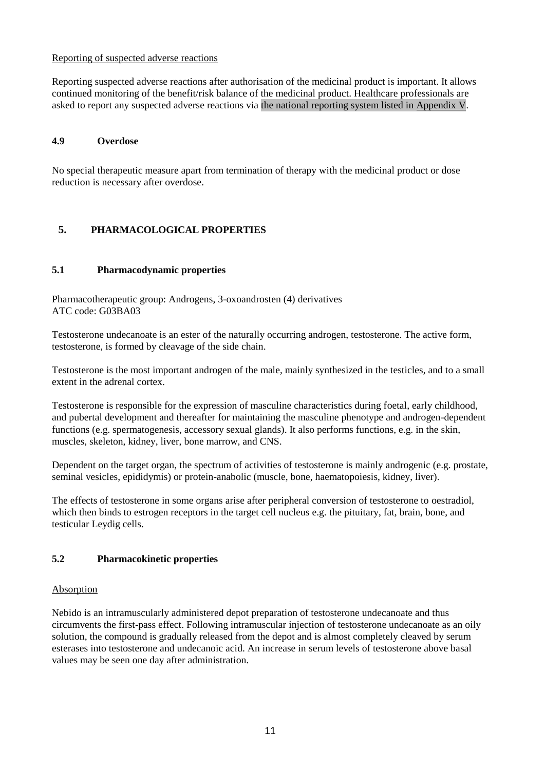### Reporting of suspected adverse reactions

Reporting suspected adverse reactions after authorisation of the medicinal product is important. It allows continued monitoring of the benefit/risk balance of the medicinal product. Healthcare professionals are asked to report any suspected adverse reactions via the national reporting system listed in [Appendix V.](http://www.ema.europa.eu/docs/en_GB/document_library/Template_or_form/2013/03/WC500139752.doc)

# **4.9 Overdose**

No special therapeutic measure apart from termination of therapy with the medicinal product or dose reduction is necessary after overdose.

# **5. PHARMACOLOGICAL PROPERTIES**

# **5.1 Pharmacodynamic properties**

Pharmacotherapeutic group: Androgens, 3-oxoandrosten (4) derivatives ATC code: G03BA03

Testosterone undecanoate is an ester of the naturally occurring androgen, testosterone. The active form, testosterone, is formed by cleavage of the side chain.

Testosterone is the most important androgen of the male, mainly synthesized in the testicles, and to a small extent in the adrenal cortex.

Testosterone is responsible for the expression of masculine characteristics during foetal, early childhood, and pubertal development and thereafter for maintaining the masculine phenotype and androgen-dependent functions (e.g. spermatogenesis, accessory sexual glands). It also performs functions, e.g. in the skin, muscles, skeleton, kidney, liver, bone marrow, and CNS.

Dependent on the target organ, the spectrum of activities of testosterone is mainly androgenic (e.g. prostate, seminal vesicles, epididymis) or protein-anabolic (muscle, bone, haematopoiesis, kidney, liver).

The effects of testosterone in some organs arise after peripheral conversion of testosterone to oestradiol, which then binds to estrogen receptors in the target cell nucleus e.g. the pituitary, fat, brain, bone, and testicular Leydig cells.

# **5.2 Pharmacokinetic properties**

### Absorption

Nebido is an intramuscularly administered depot preparation of testosterone undecanoate and thus circumvents the first-pass effect. Following intramuscular injection of testosterone undecanoate as an oily solution, the compound is gradually released from the depot and is almost completely cleaved by serum esterases into testosterone and undecanoic acid. An increase in serum levels of testosterone above basal values may be seen one day after administration.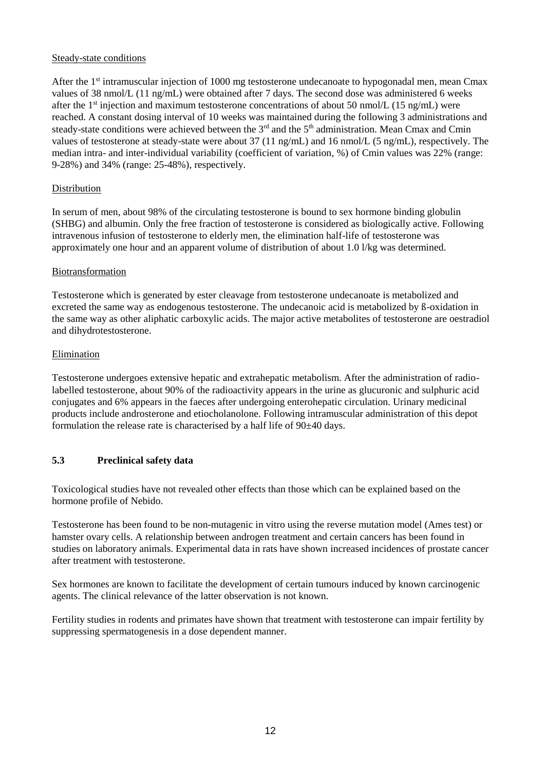# Steady-state conditions

After the 1st intramuscular injection of 1000 mg testosterone undecanoate to hypogonadal men, mean Cmax values of 38 nmol/L (11 ng/mL) were obtained after 7 days. The second dose was administered 6 weeks after the 1<sup>st</sup> injection and maximum testosterone concentrations of about 50 nmol/L (15 ng/mL) were reached. A constant dosing interval of 10 weeks was maintained during the following 3 administrations and steady-state conditions were achieved between the 3<sup>rd</sup> and the 5<sup>th</sup> administration. Mean Cmax and Cmin values of testosterone at steady-state were about 37 (11 ng/mL) and 16 nmol/L (5 ng/mL), respectively. The median intra- and inter-individual variability (coefficient of variation, %) of Cmin values was 22% (range: 9-28%) and 34% (range: 25-48%), respectively.

### Distribution

In serum of men, about 98% of the circulating testosterone is bound to sex hormone binding globulin (SHBG) and albumin. Only the free fraction of testosterone is considered as biologically active. Following intravenous infusion of testosterone to elderly men, the elimination half-life of testosterone was approximately one hour and an apparent volume of distribution of about 1.0 l/kg was determined.

### Biotransformation

Testosterone which is generated by ester cleavage from testosterone undecanoate is metabolized and excreted the same way as endogenous testosterone. The undecanoic acid is metabolized by ß-oxidation in the same way as other aliphatic carboxylic acids. The major active metabolites of testosterone are oestradiol and dihydrotestosterone.

### **Elimination**

Testosterone undergoes extensive hepatic and extrahepatic metabolism. After the administration of radiolabelled testosterone, about 90% of the radioactivity appears in the urine as glucuronic and sulphuric acid conjugates and 6% appears in the faeces after undergoing enterohepatic circulation. Urinary medicinal products include androsterone and etiocholanolone. Following intramuscular administration of this depot formulation the release rate is characterised by a half life of  $90\pm40$  days.

# **5.3 Preclinical safety data**

Toxicological studies have not revealed other effects than those which can be explained based on the hormone profile of Nebido.

Testosterone has been found to be non-mutagenic in vitro using the reverse mutation model (Ames test) or hamster ovary cells. A relationship between androgen treatment and certain cancers has been found in studies on laboratory animals. Experimental data in rats have shown increased incidences of prostate cancer after treatment with testosterone.

Sex hormones are known to facilitate the development of certain tumours induced by known carcinogenic agents. The clinical relevance of the latter observation is not known.

Fertility studies in rodents and primates have shown that treatment with testosterone can impair fertility by suppressing spermatogenesis in a dose dependent manner.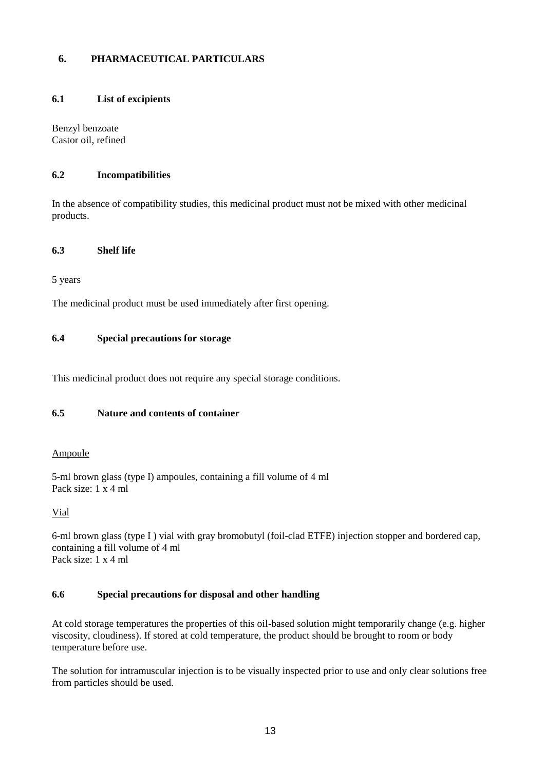# **6. PHARMACEUTICAL PARTICULARS**

### **6.1 List of excipients**

Benzyl benzoate Castor oil, refined

# **6.2 Incompatibilities**

In the absence of compatibility studies, this medicinal product must not be mixed with other medicinal products.

## **6.3 Shelf life**

5 years

The medicinal product must be used immediately after first opening.

# **6.4 Special precautions for storage**

This medicinal product does not require any special storage conditions.

# **6.5 Nature and contents of container**

### Ampoule

5-ml brown glass (type I) ampoules, containing a fill volume of 4 ml Pack size: 1 x 4 ml

Vial

6-ml brown glass (type I ) vial with gray bromobutyl (foil-clad ETFE) injection stopper and bordered cap, containing a fill volume of 4 ml Pack size: 1 x 4 ml

# **6.6 Special precautions for disposal and other handling**

At cold storage temperatures the properties of this oil-based solution might temporarily change (e.g. higher viscosity, cloudiness). If stored at cold temperature, the product should be brought to room or body temperature before use.

The solution for intramuscular injection is to be visually inspected prior to use and only clear solutions free from particles should be used.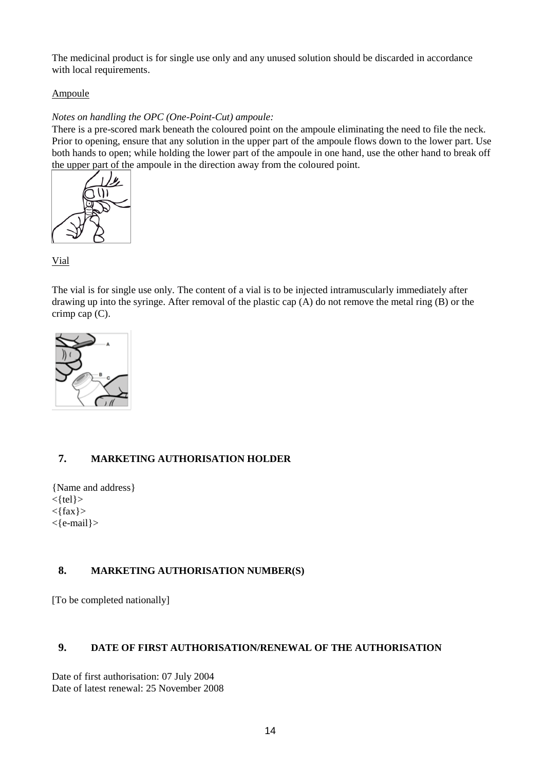The medicinal product is for single use only and any unused solution should be discarded in accordance with local requirements.

# Ampoule

# *Notes on handling the OPC (One-Point-Cut) ampoule:*

There is a pre-scored mark beneath the coloured point on the ampoule eliminating the need to file the neck. Prior to opening, ensure that any solution in the upper part of the ampoule flows down to the lower part. Use both hands to open; while holding the lower part of the ampoule in one hand, use the other hand to break off the upper part of the ampoule in the direction away from the coloured point.



Vial

The vial is for single use only. The content of a vial is to be injected intramuscularly immediately after drawing up into the syringe. After removal of the plastic cap (A) do not remove the metal ring (B) or the crimp cap (C).



# **7. MARKETING AUTHORISATION HOLDER**

{Name and address}  $<$ {tel} $>$  $<$ {fax} > <{e-mail}>

# **8. MARKETING AUTHORISATION NUMBER(S)**

[To be completed nationally]

### **9. DATE OF FIRST AUTHORISATION/RENEWAL OF THE AUTHORISATION**

Date of first authorisation: 07 July 2004 Date of latest renewal: 25 November 2008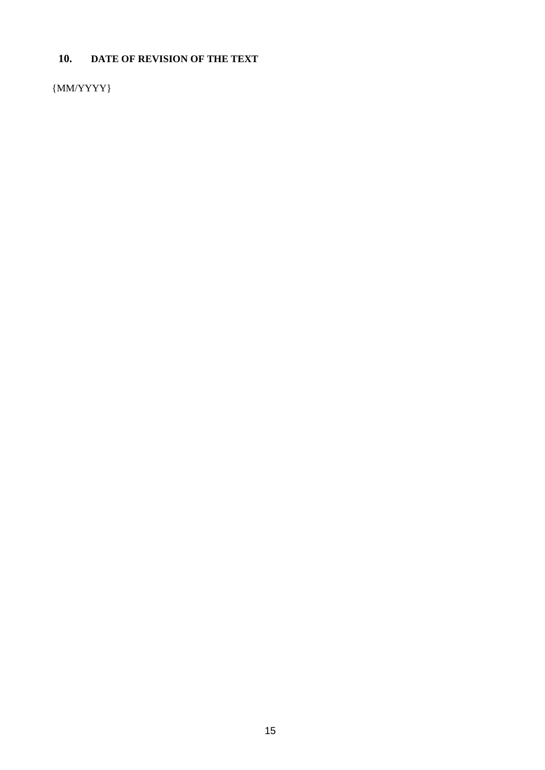# **10. DATE OF REVISION OF THE TEXT**

 ${MM/YYYY}$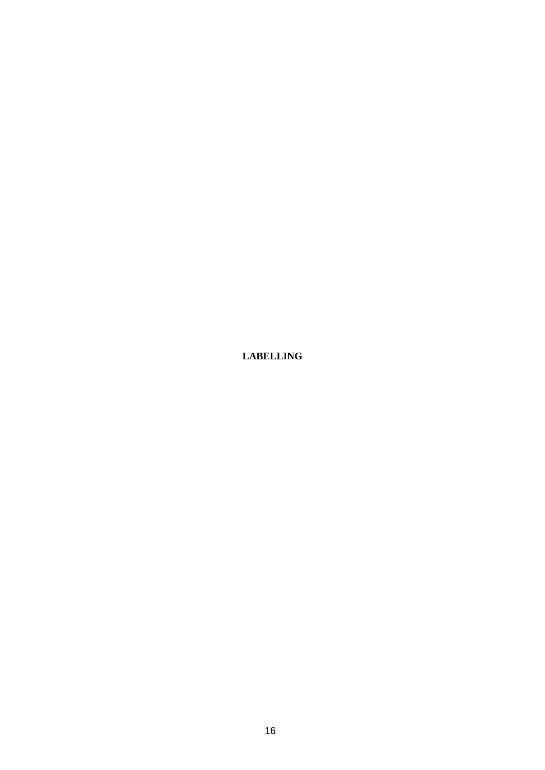**LABELLING**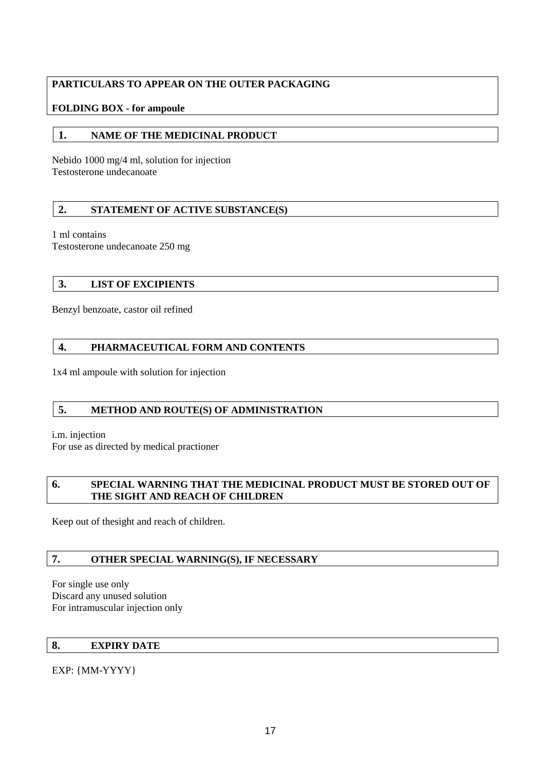# **PARTICULARS TO APPEAR ON THE OUTER PACKAGING**

# **FOLDING BOX - for ampoule**

# **1. NAME OF THE MEDICINAL PRODUCT**

Nebido 1000 mg/4 ml, solution for injection Testosterone undecanoate

# **2. STATEMENT OF ACTIVE SUBSTANCE(S)**

1 ml contains

Testosterone undecanoate 250 mg

# **3. LIST OF EXCIPIENTS**

Benzyl benzoate, castor oil refined

# **4. PHARMACEUTICAL FORM AND CONTENTS**

1x4 ml ampoule with solution for injection

# **5. METHOD AND ROUTE(S) OF ADMINISTRATION**

i.m. injection

For use as directed by medical practioner

# **6. SPECIAL WARNING THAT THE MEDICINAL PRODUCT MUST BE STORED OUT OF THE SIGHT AND REACH OF CHILDREN**

Keep out of thesight and reach of children.

# **7. OTHER SPECIAL WARNING(S), IF NECESSARY**

For single use only Discard any unused solution For intramuscular injection only

# **8. EXPIRY DATE**

EXP: {MM-YYYY}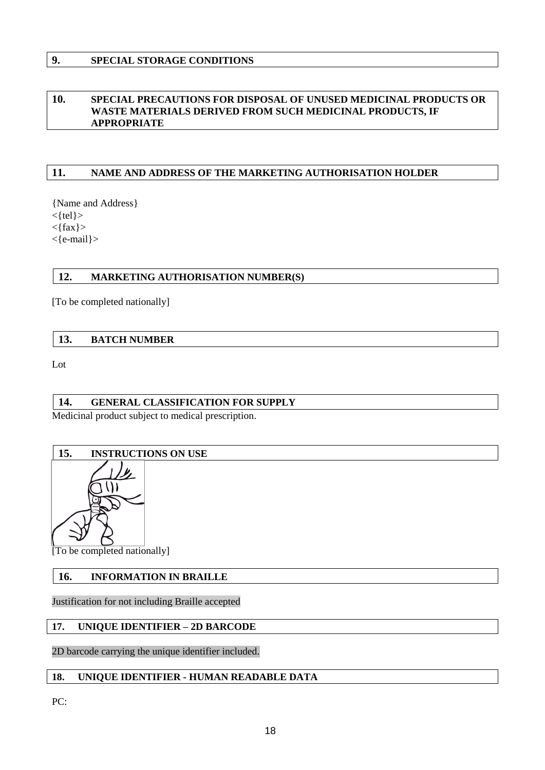# **9. SPECIAL STORAGE CONDITIONS**

# **10. SPECIAL PRECAUTIONS FOR DISPOSAL OF UNUSED MEDICINAL PRODUCTS OR WASTE MATERIALS DERIVED FROM SUCH MEDICINAL PRODUCTS, IF APPROPRIATE**

# **11. NAME AND ADDRESS OF THE MARKETING AUTHORISATION HOLDER**

{Name and Address}  $\langle$ {tel} $\rangle$  $<$ {fax} > <{e-mail}>

# **12. MARKETING AUTHORISATION NUMBER(S)**

[To be completed nationally]

### **13. BATCH NUMBER**

Lot

# **14. GENERAL CLASSIFICATION FOR SUPPLY**

Medicinal product subject to medical prescription.

# **15. INSTRUCTIONS ON USE**



[To be completed nationally]

# **16. INFORMATION IN BRAILLE**

Justification for not including Braille accepted

# **17. UNIQUE IDENTIFIER – 2D BARCODE**

2D barcode carrying the unique identifier included.

### **18. UNIQUE IDENTIFIER - HUMAN READABLE DATA**

PC: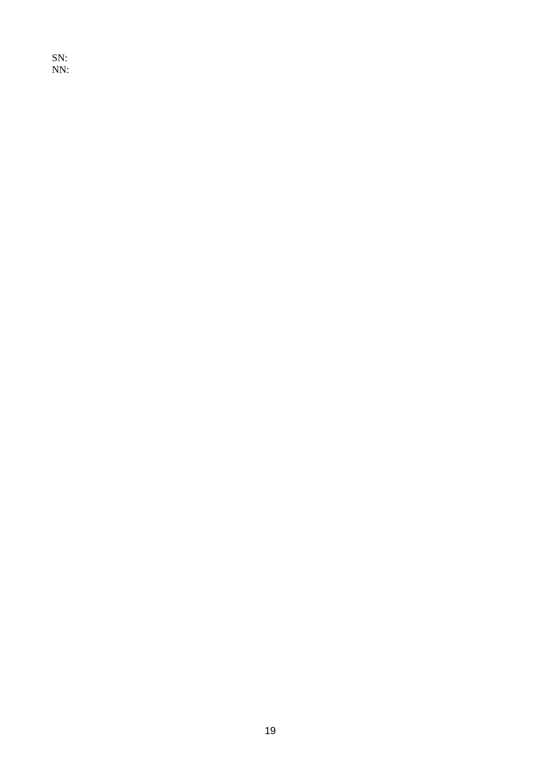SN: NN: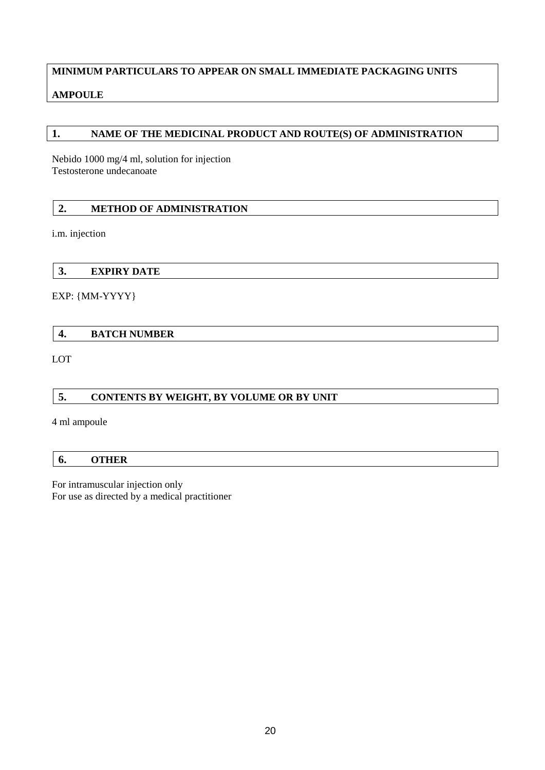# **MINIMUM PARTICULARS TO APPEAR ON SMALL IMMEDIATE PACKAGING UNITS**

# **AMPOULE**

# **1. NAME OF THE MEDICINAL PRODUCT AND ROUTE(S) OF ADMINISTRATION**

Nebido 1000 mg/4 ml, solution for injection Testosterone undecanoate

# **2. METHOD OF ADMINISTRATION**

i.m. injection

**3. EXPIRY DATE**

EXP: {MM-YYYY}

# **4. BATCH NUMBER**

LOT

# **5. CONTENTS BY WEIGHT, BY VOLUME OR BY UNIT**

4 ml ampoule

# **6. OTHER**

For intramuscular injection only For use as directed by a medical practitioner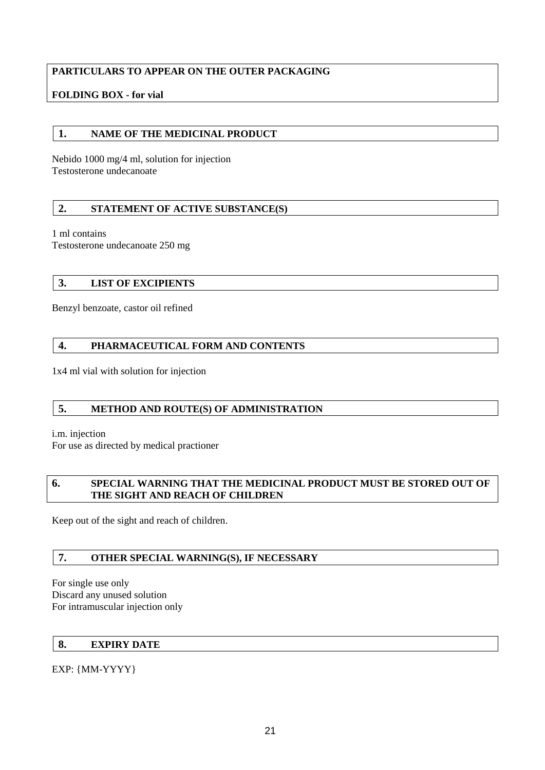# **PARTICULARS TO APPEAR ON THE OUTER PACKAGING**

# **FOLDING BOX - for vial**

# **1. NAME OF THE MEDICINAL PRODUCT**

Nebido 1000 mg/4 ml, solution for injection Testosterone undecanoate

# **2. STATEMENT OF ACTIVE SUBSTANCE(S)**

1 ml contains

Testosterone undecanoate 250 mg

# **3. LIST OF EXCIPIENTS**

Benzyl benzoate, castor oil refined

# **4. PHARMACEUTICAL FORM AND CONTENTS**

1x4 ml vial with solution for injection

# **5. METHOD AND ROUTE(S) OF ADMINISTRATION**

i.m. injection

For use as directed by medical practioner

### **6. SPECIAL WARNING THAT THE MEDICINAL PRODUCT MUST BE STORED OUT OF THE SIGHT AND REACH OF CHILDREN**

Keep out of the sight and reach of children.

# **7. OTHER SPECIAL WARNING(S), IF NECESSARY**

For single use only Discard any unused solution For intramuscular injection only

# **8. EXPIRY DATE**

EXP: {MM-YYYY}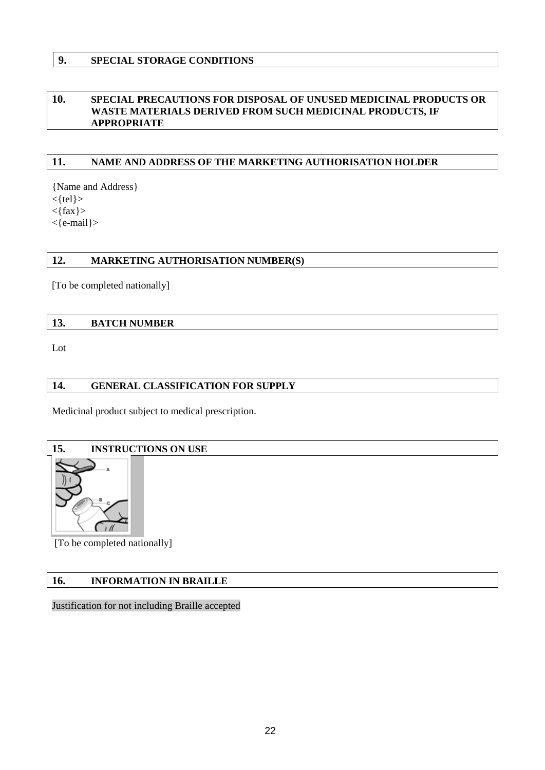# **9. SPECIAL STORAGE CONDITIONS**

# **10. SPECIAL PRECAUTIONS FOR DISPOSAL OF UNUSED MEDICINAL PRODUCTS OR WASTE MATERIALS DERIVED FROM SUCH MEDICINAL PRODUCTS, IF APPROPRIATE**

# **11. NAME AND ADDRESS OF THE MARKETING AUTHORISATION HOLDER**

{Name and Address}  $<$ {tel} $>$  $<$ {fax} > <{e-mail}>

### **12. MARKETING AUTHORISATION NUMBER(S)**

[To be completed nationally]

### **13. BATCH NUMBER**

Lot

# **14. GENERAL CLASSIFICATION FOR SUPPLY**

Medicinal product subject to medical prescription.

# **15. INSTRUCTIONS ON USE**



[To be completed nationally]

# **16. INFORMATION IN BRAILLE**

Justification for not including Braille accepted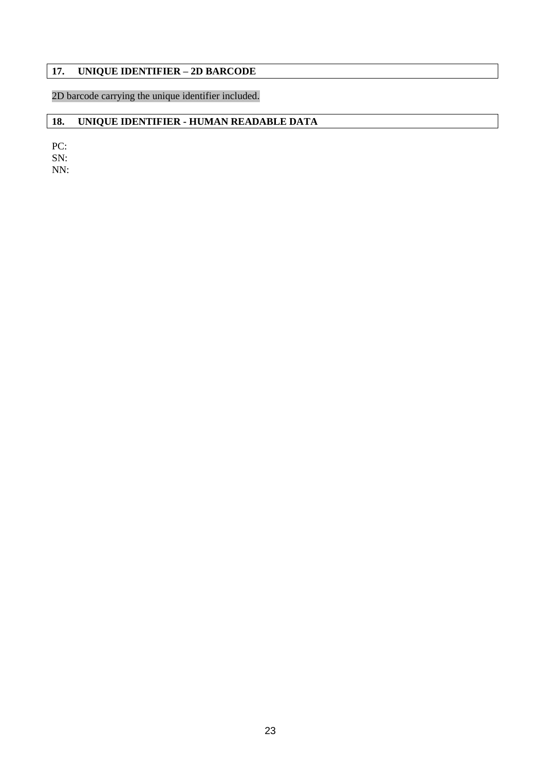# **17. UNIQUE IDENTIFIER – 2D BARCODE**

2D barcode carrying the unique identifier included.

# **18. UNIQUE IDENTIFIER - HUMAN READABLE DATA**

PC: SN:

NN: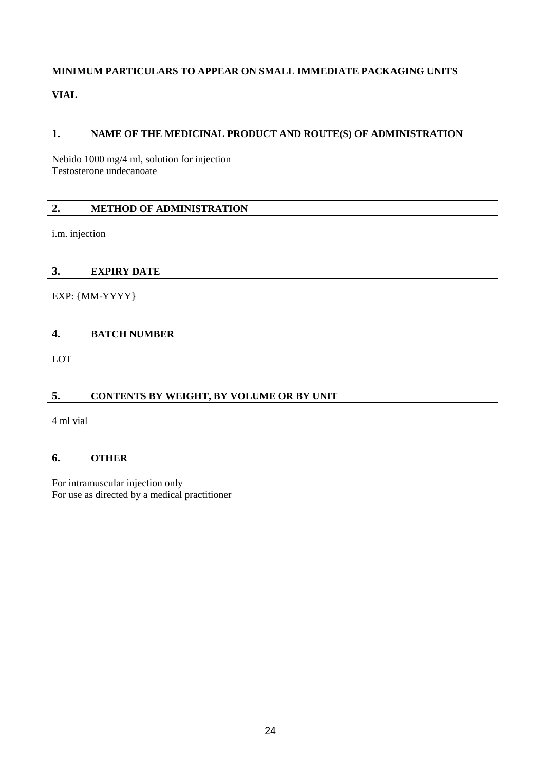# **MINIMUM PARTICULARS TO APPEAR ON SMALL IMMEDIATE PACKAGING UNITS VIAL**

# **1. NAME OF THE MEDICINAL PRODUCT AND ROUTE(S) OF ADMINISTRATION**

Nebido 1000 mg/4 ml, solution for injection Testosterone undecanoate

# **2. METHOD OF ADMINISTRATION**

i.m. injection

**3. EXPIRY DATE**

EXP: {MM-YYYY}

**4. BATCH NUMBER**

LOT

# **5. CONTENTS BY WEIGHT, BY VOLUME OR BY UNIT**

4 ml vial

### **6. OTHER**

For intramuscular injection only For use as directed by a medical practitioner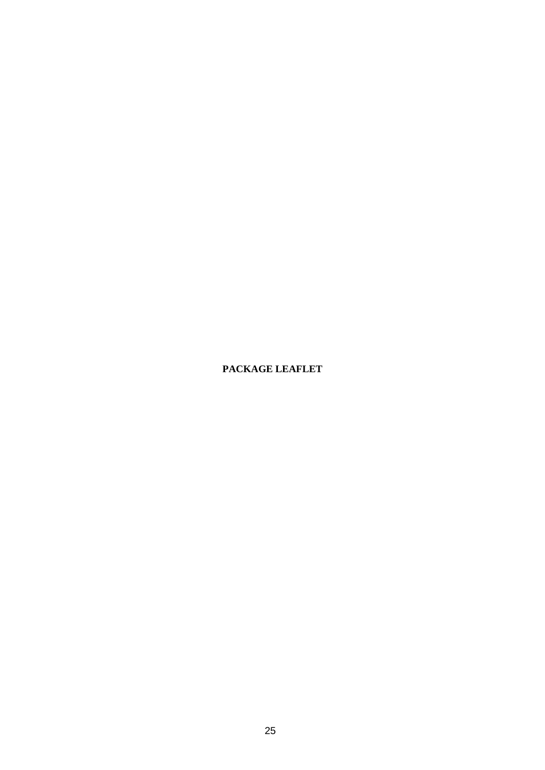# **PACKAGE LEAFLET**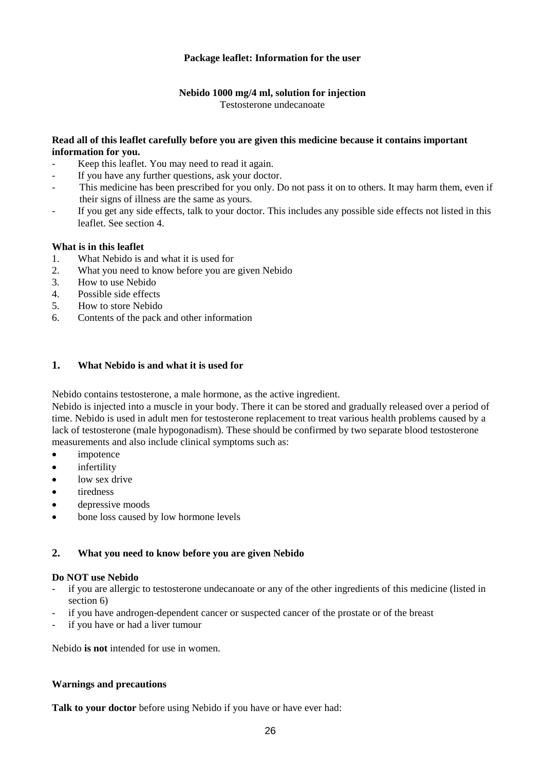# **Package leaflet: Information for the user**

### **Nebido 1000 mg/4 ml, solution for injection**

Testosterone undecanoate

## **Read all of this leaflet carefully before you are given this medicine because it contains important information for you.**

- Keep this leaflet. You may need to read it again.
- If you have any further questions, ask your doctor.
- This medicine has been prescribed for you only. Do not pass it on to others. It may harm them, even if their signs of illness are the same as yours.
- If you get any side effects, talk to your doctor. This includes any possible side effects not listed in this leaflet. See section 4.

### **What is in this leaflet**

- 1. What Nebido is and what it is used for
- 2. What you need to know before you are given Nebido
- 3. How to use Nebido
- 4. Possible side effects
- 5. How to store Nebido
- 6. Contents of the pack and other information

# **1. What Nebido is and what it is used for**

Nebido contains testosterone, a male hormone, as the active ingredient.

Nebido is injected into a muscle in your body. There it can be stored and gradually released over a period of time. Nebido is used in adult men for testosterone replacement to treat various health problems caused by a lack of testosterone (male hypogonadism). These should be confirmed by two separate blood testosterone measurements and also include clinical symptoms such as:

- impotence
- infertility
- low sex drive
- tiredness
- depressive moods
- bone loss caused by low hormone levels

### **2. What you need to know before you are given Nebido**

### **Do NOT use Nebido**

- if you are allergic to testosterone undecanoate or any of the other ingredients of this medicine (listed in section 6)
- if you have androgen-dependent cancer or suspected cancer of the prostate or of the breast
- if you have or had a liver tumour

Nebido **is not** intended for use in women.

### **Warnings and precautions**

**Talk to your doctor** before using Nebido if you have or have ever had: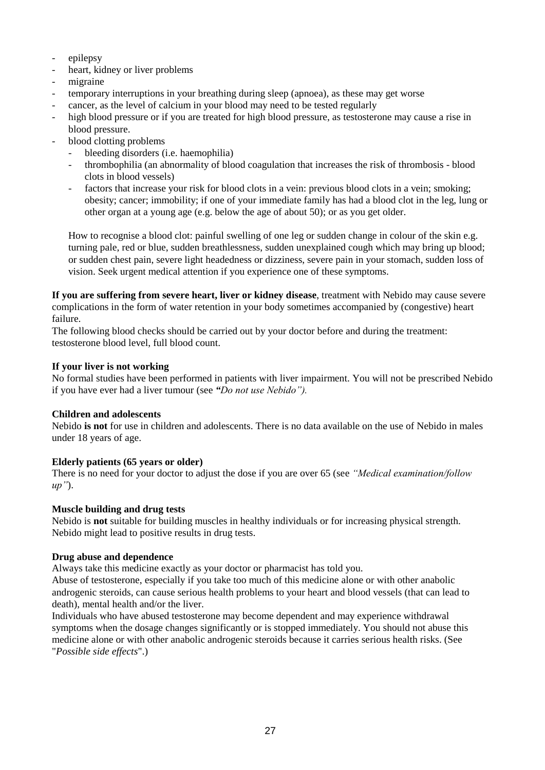- epilepsy
- heart, kidney or liver problems
- migraine
- temporary interruptions in your breathing during sleep (apnoea), as these may get worse
- cancer, as the level of calcium in your blood may need to be tested regularly
- high blood pressure or if you are treated for high blood pressure, as testosterone may cause a rise in blood pressure.
- blood clotting problems
	- bleeding disorders (i.e. haemophilia)
	- thrombophilia (an abnormality of blood coagulation that increases the risk of thrombosis blood clots in blood vessels)
	- factors that increase your risk for blood clots in a vein: previous blood clots in a vein; smoking; obesity; cancer; immobility; if one of your immediate family has had a blood clot in the leg, lung or other organ at a young age (e.g. below the age of about 50); or as you get older.

How to recognise a blood clot: painful swelling of one leg or sudden change in colour of the skin e.g. turning pale, red or blue, sudden breathlessness, sudden unexplained cough which may bring up blood; or sudden chest pain, severe light headedness or dizziness, severe pain in your stomach, sudden loss of vision. Seek urgent medical attention if you experience one of these symptoms.

**If you are suffering from severe heart, liver or kidney disease**, treatment with Nebido may cause severe complications in the form of water retention in your body sometimes accompanied by (congestive) heart failure.

The following blood checks should be carried out by your doctor before and during the treatment: testosterone blood level, full blood count.

### **If your liver is not working**

No formal studies have been performed in patients with liver impairment. You will not be prescribed Nebido if you have ever had a liver tumour (see *"Do not use Nebido").*

### **Children and adolescents**

Nebido **is not** for use in children and adolescents. There is no data available on the use of Nebido in males under 18 years of age.

### **Elderly patients (65 years or older)**

There is no need for your doctor to adjust the dose if you are over 65 (see *"Medical examination/follow up"*).

### **Muscle building and drug tests**

Nebido is **not** suitable for building muscles in healthy individuals or for increasing physical strength. Nebido might lead to positive results in drug tests.

#### **Drug abuse and dependence**

Always take this medicine exactly as your doctor or pharmacist has told you.

Abuse of testosterone, especially if you take too much of this medicine alone or with other anabolic androgenic steroids, can cause serious health problems to your heart and blood vessels (that can lead to death), mental health and/or the liver.

Individuals who have abused testosterone may become dependent and may experience withdrawal symptoms when the dosage changes significantly or is stopped immediately. You should not abuse this medicine alone or with other anabolic androgenic steroids because it carries serious health risks. (See "*Possible side effects*".)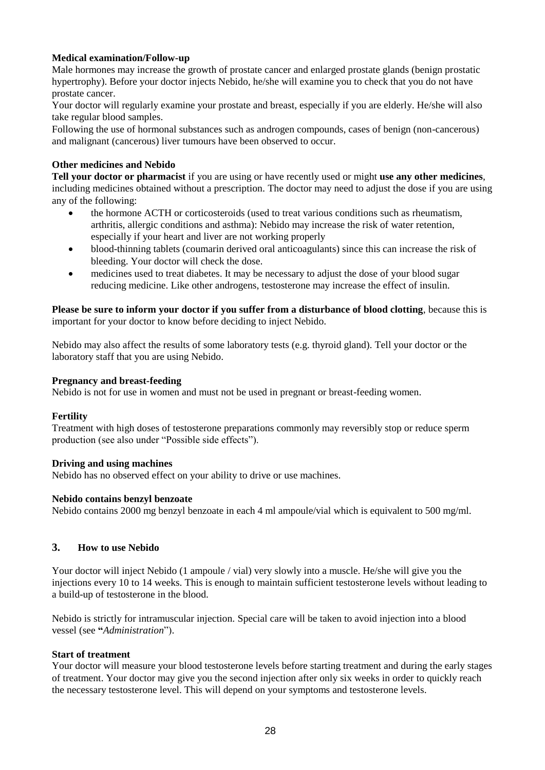# **Medical examination/Follow-up**

Male hormones may increase the growth of prostate cancer and enlarged prostate glands (benign prostatic hypertrophy). Before your doctor injects Nebido, he/she will examine you to check that you do not have prostate cancer.

Your doctor will regularly examine your prostate and breast, especially if you are elderly. He/she will also take regular blood samples.

Following the use of hormonal substances such as androgen compounds, cases of benign (non-cancerous) and malignant (cancerous) liver tumours have been observed to occur.

### **Other medicines and Nebido**

**Tell your doctor or pharmacist** if you are using or have recently used or might **use any other medicines**, including medicines obtained without a prescription. The doctor may need to adjust the dose if you are using any of the following:

- the hormone ACTH or corticosteroids (used to treat various conditions such as rheumatism, arthritis, allergic conditions and asthma): Nebido may increase the risk of water retention, especially if your heart and liver are not working properly
- blood-thinning tablets (coumarin derived oral anticoagulants) since this can increase the risk of bleeding. Your doctor will check the dose.
- medicines used to treat diabetes. It may be necessary to adjust the dose of your blood sugar reducing medicine. Like other androgens, testosterone may increase the effect of insulin.

**Please be sure to inform your doctor if you suffer from a disturbance of blood clotting**, because this is important for your doctor to know before deciding to inject Nebido.

Nebido may also affect the results of some laboratory tests (e.g. thyroid gland). Tell your doctor or the laboratory staff that you are using Nebido.

### **Pregnancy and breast-feeding**

Nebido is not for use in women and must not be used in pregnant or breast-feeding women.

### **Fertility**

Treatment with high doses of testosterone preparations commonly may reversibly stop or reduce sperm production (see also under "Possible side effects").

### **Driving and using machines**

Nebido has no observed effect on your ability to drive or use machines.

### **Nebido contains benzyl benzoate**

Nebido contains 2000 mg benzyl benzoate in each 4 ml ampoule/vial which is equivalent to 500 mg/ml.

### **3. How to use Nebido**

Your doctor will inject Nebido (1 ampoule / vial) very slowly into a muscle. He/she will give you the injections every 10 to 14 weeks. This is enough to maintain sufficient testosterone levels without leading to a build-up of testosterone in the blood.

Nebido is strictly for intramuscular injection. Special care will be taken to avoid injection into a blood vessel (see **"***Administration*").

### **Start of treatment**

Your doctor will measure your blood testosterone levels before starting treatment and during the early stages of treatment. Your doctor may give you the second injection after only six weeks in order to quickly reach the necessary testosterone level. This will depend on your symptoms and testosterone levels.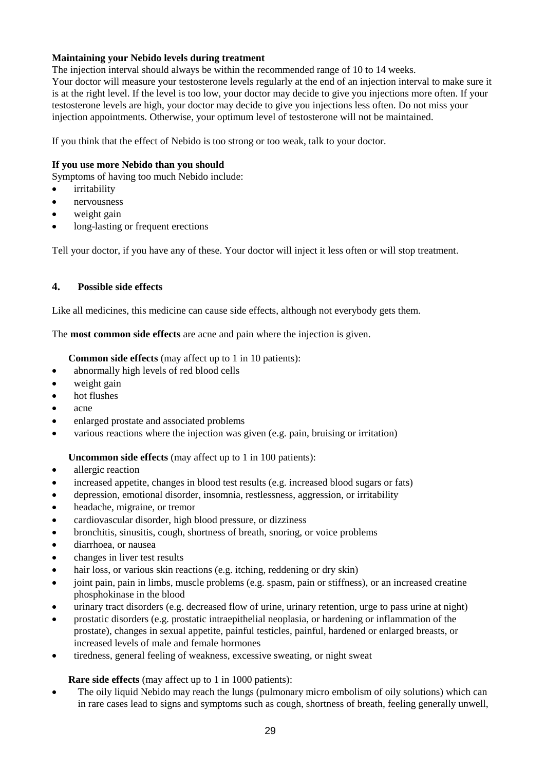# **Maintaining your Nebido levels during treatment**

The injection interval should always be within the recommended range of 10 to 14 weeks. Your doctor will measure your testosterone levels regularly at the end of an injection interval to make sure it is at the right level. If the level is too low, your doctor may decide to give you injections more often. If your testosterone levels are high, your doctor may decide to give you injections less often. Do not miss your injection appointments. Otherwise, your optimum level of testosterone will not be maintained.

If you think that the effect of Nebido is too strong or too weak, talk to your doctor.

# **If you use more Nebido than you should**

Symptoms of having too much Nebido include:

- **•** irritability
- nervousness
- weight gain
- long-lasting or frequent erections

Tell your doctor, if you have any of these. Your doctor will inject it less often or will stop treatment.

# **4. Possible side effects**

Like all medicines, this medicine can cause side effects, although not everybody gets them.

The **most common side effects** are acne and pain where the injection is given.

**Common side effects** (may affect up to 1 in 10 patients):

- abnormally high levels of red blood cells
- weight gain
- hot flushes
- acne
- enlarged prostate and associated problems
- various reactions where the injection was given (e.g. pain, bruising or irritation)

# **Uncommon side effects** (may affect up to 1 in 100 patients):

- allergic reaction
- increased appetite, changes in blood test results (e.g. increased blood sugars or fats)
- depression, emotional disorder, insomnia, restlessness, aggression, or irritability
- headache, migraine, or tremor
- cardiovascular disorder, high blood pressure, or dizziness
- bronchitis, sinusitis, cough, shortness of breath, snoring, or voice problems
- diarrhoea, or nausea
- changes in liver test results
- hair loss, or various skin reactions (e.g. itching, reddening or dry skin)
- joint pain, pain in limbs, muscle problems (e.g. spasm, pain or stiffness), or an increased creatine phosphokinase in the blood
- urinary tract disorders (e.g. decreased flow of urine, urinary retention, urge to pass urine at night)
- prostatic disorders (e.g. prostatic intraepithelial neoplasia, or hardening or inflammation of the prostate), changes in sexual appetite, painful testicles, painful, hardened or enlarged breasts, or increased levels of male and female hormones
- tiredness, general feeling of weakness, excessive sweating, or night sweat

# **Rare side effects** (may affect up to 1 in 1000 patients):

• The oily liquid Nebido may reach the lungs (pulmonary micro embolism of oily solutions) which can in rare cases lead to signs and symptoms such as cough, shortness of breath, feeling generally unwell,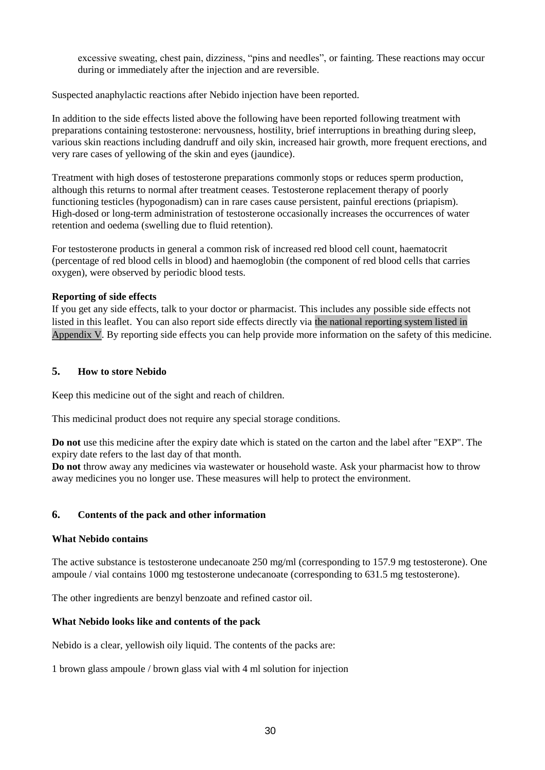excessive sweating, chest pain, dizziness, "pins and needles", or fainting. These reactions may occur during or immediately after the injection and are reversible.

Suspected anaphylactic reactions after Nebido injection have been reported.

In addition to the side effects listed above the following have been reported following treatment with preparations containing testosterone: nervousness, hostility, brief interruptions in breathing during sleep, various skin reactions including dandruff and oily skin, increased hair growth, more frequent erections, and very rare cases of yellowing of the skin and eyes (jaundice).

Treatment with high doses of testosterone preparations commonly stops or reduces sperm production, although this returns to normal after treatment ceases. Testosterone replacement therapy of poorly functioning testicles (hypogonadism) can in rare cases cause persistent, painful erections (priapism). High-dosed or long-term administration of testosterone occasionally increases the occurrences of water retention and oedema (swelling due to fluid retention).

For testosterone products in general a common risk of increased red blood cell count, haematocrit (percentage of red blood cells in blood) and haemoglobin (the component of red blood cells that carries oxygen), were observed by periodic blood tests.

### **Reporting of side effects**

If you get any side effects, talk to your doctor or pharmacist. This includes any possible side effects not listed in this leaflet. You can also report side effects directly via the national reporting system listed in [Appendix V.](http://www.ema.europa.eu/docs/en_GB/document_library/Template_or_form/2013/03/WC500139752.doc) By reporting side effects you can help provide more information on the safety of this medicine.

### **5. How to store Nebido**

Keep this medicine out of the sight and reach of children.

This medicinal product does not require any special storage conditions.

**Do not** use this medicine after the expiry date which is stated on the carton and the label after "EXP". The expiry date refers to the last day of that month.

**Do not** throw away any medicines via wastewater or household waste. Ask your pharmacist how to throw away medicines you no longer use. These measures will help to protect the environment.

### **6. Contents of the pack and other information**

### **What Nebido contains**

The active substance is testosterone undecanoate 250 mg/ml (corresponding to 157.9 mg testosterone). One ampoule / vial contains 1000 mg testosterone undecanoate (corresponding to 631.5 mg testosterone).

The other ingredients are benzyl benzoate and refined castor oil.

### **What Nebido looks like and contents of the pack**

Nebido is a clear, yellowish oily liquid. The contents of the packs are:

1 brown glass ampoule / brown glass vial with 4 ml solution for injection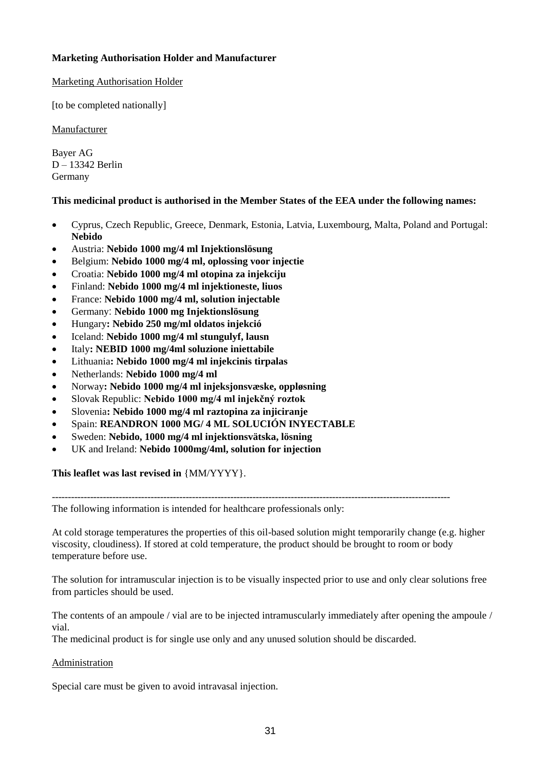# **Marketing Authorisation Holder and Manufacturer**

# Marketing Authorisation Holder

[to be completed nationally]

**Manufacturer** 

Bayer AG D – 13342 Berlin Germany

# **This medicinal product is authorised in the Member States of the EEA under the following names:**

- Cyprus, Czech Republic, Greece, Denmark, Estonia, Latvia, Luxembourg, Malta, Poland and Portugal: **Nebido**
- Austria: **Nebido 1000 mg/4 ml Injektionslösung**
- Belgium: **Nebido 1000 mg/4 ml, oplossing voor injectie**
- Croatia: **Nebido 1000 mg/4 ml otopina za injekciju**
- Finland: **Nebido 1000 mg/4 ml injektioneste, liuos**
- France: **Nebido 1000 mg/4 ml, solution injectable**
- Germany: **Nebido 1000 mg Injektionslösung**
- Hungary**: Nebido 250 mg/ml oldatos injekció**
- Iceland: **Nebido 1000 mg/4 ml stungulyf, lausn**
- Italy**: NEBID 1000 mg/4ml soluzione iniettabile**
- Lithuania**: Nebido 1000 mg/4 ml injekcinis tirpalas**
- Netherlands: **Nebido 1000 mg/4 ml**
- Norway**: Nebido 1000 mg/4 ml injeksjonsvæske, oppløsning**
- Slovak Republic: **Nebido 1000 mg/4 ml injekčný roztok**
- Slovenia**: Nebido 1000 mg/4 ml raztopina za injiciranje**
- Spain: **REANDRON 1000 MG/ 4 ML SOLUCIÓN INYECTABLE**
- Sweden: **Nebido, 1000 mg/4 ml injektionsvätska, lösning**
- UK and Ireland: **Nebido 1000mg/4ml, solution for injection**

**This leaflet was last revised in** {MM/YYYY}.

----------------------------------------------------------------------------------------------------------------------------- The following information is intended for healthcare professionals only:

At cold storage temperatures the properties of this oil-based solution might temporarily change (e.g. higher viscosity, cloudiness). If stored at cold temperature, the product should be brought to room or body temperature before use.

The solution for intramuscular injection is to be visually inspected prior to use and only clear solutions free from particles should be used.

The contents of an ampoule / vial are to be injected intramuscularly immediately after opening the ampoule / vial.

The medicinal product is for single use only and any unused solution should be discarded.

# Administration

Special care must be given to avoid intravasal injection.